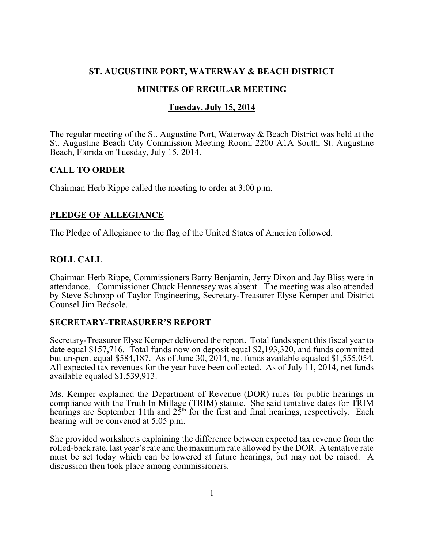# **ST. AUGUSTINE PORT, WATERWAY & BEACH DISTRICT**

# **MINUTES OF REGULAR MEETING**

# **Tuesday, July 15, 2014**

The regular meeting of the St. Augustine Port, Waterway & Beach District was held at the St. Augustine Beach City Commission Meeting Room, 2200 A1A South, St. Augustine Beach, Florida on Tuesday, July 15, 2014.

## **CALL TO ORDER**

Chairman Herb Rippe called the meeting to order at 3:00 p.m.

# **PLEDGE OF ALLEGIANCE**

The Pledge of Allegiance to the flag of the United States of America followed.

# **ROLL CALL**

Chairman Herb Rippe, Commissioners Barry Benjamin, Jerry Dixon and Jay Bliss were in attendance. Commissioner Chuck Hennessey was absent. The meeting was also attended by Steve Schropp of Taylor Engineering, Secretary-Treasurer Elyse Kemper and District Counsel Jim Bedsole.

### **SECRETARY-TREASURER'S REPORT**

Secretary-Treasurer Elyse Kemper delivered the report. Total funds spent this fiscal year to date equal \$157,716. Total funds now on deposit equal \$2,193,320, and funds committed but unspent equal \$584,187. As of June 30, 2014, net funds available equaled \$1,555,054. All expected tax revenues for the year have been collected. As of July 11, 2014, net funds available equaled \$1,539,913.

Ms. Kemper explained the Department of Revenue (DOR) rules for public hearings in compliance with the Truth In Millage (TRIM) statute. She said tentative dates for TRIM hearings are September 11th and  $25<sup>th</sup>$  for the first and final hearings, respectively. Each hearing will be convened at 5:05 p.m.

She provided worksheets explaining the difference between expected tax revenue from the rolled-back rate, last year's rate and the maximum rate allowed by the DOR. A tentative rate must be set today which can be lowered at future hearings, but may not be raised. A discussion then took place among commissioners.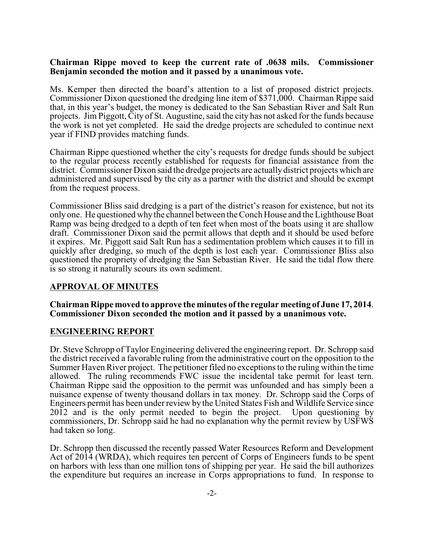#### **Chairman Rippe moved to keep the current rate of .0638 mils. Commissioner Benjamin seconded the motion and it passed by a unanimous vote.**

Ms. Kemper then directed the board's attention to a list of proposed district projects. Commissioner Dixon questioned the dredging line item of \$371,000. Chairman Rippe said that, in this year's budget, the money is dedicated to the San Sebastian River and Salt Run projects. Jim Piggott, City of St. Augustine, said the city has not asked for the funds because the work is not yet completed. He said the dredge projects are scheduled to continue next year if FIND provides matching funds.

Chairman Rippe questioned whether the city's requests for dredge funds should be subject to the regular process recently established for requests for financial assistance from the district. Commissioner Dixon said the dredge projects are actually district projects which are administered and supervised by the city as a partner with the district and should be exempt from the request process.

Commissioner Bliss said dredging is a part of the district's reason for existence, but not its onlyone. He questioned why the channel between the Conch House and the Lighthouse Boat Ramp was being dredged to a depth of ten feet when most of the boats using it are shallow draft. Commissioner Dixon said the permit allows that depth and it should be used before it expires. Mr. Piggott said Salt Run has a sedimentation problem which causes it to fill in quickly after dredging, so much of the depth is lost each year. Commissioner Bliss also questioned the propriety of dredging the San Sebastian River. He said the tidal flow there is so strong it naturally scours its own sediment.

### **APPROVAL OF MINUTES**

#### **Chairman Rippe moved to approve the minutes of the regular meeting of June 17, 2014**. **Commissioner Dixon seconded the motion and it passed by a unanimous vote.**

#### **ENGINEERING REPORT**

Dr. Steve Schropp of Taylor Engineering delivered the engineering report. Dr. Schropp said the district received a favorable ruling from the administrative court on the opposition to the Summer Haven River project. The petitioner filed no exceptions to the ruling within the time allowed. The ruling recommends FWC issue the incidental take permit for least tern. Chairman Rippe said the opposition to the permit was unfounded and has simply been a nuisance expense of twenty thousand dollars in tax money. Dr. Schropp said the Corps of Engineers permit has been under review by the United States Fish and Wildlife Service since 2012 and is the only permit needed to begin the project. Upon questioning by commissioners, Dr. Schropp said he had no explanation why the permit review by USFWS had taken so long.

Dr. Schropp then discussed the recently passed Water Resources Reform and Development Act of 2014 (WRDA), which requires ten percent of Corps of Engineers funds to be spent on harbors with less than one million tons of shipping per year. He said the bill authorizes the expenditure but requires an increase in Corps appropriations to fund. In response to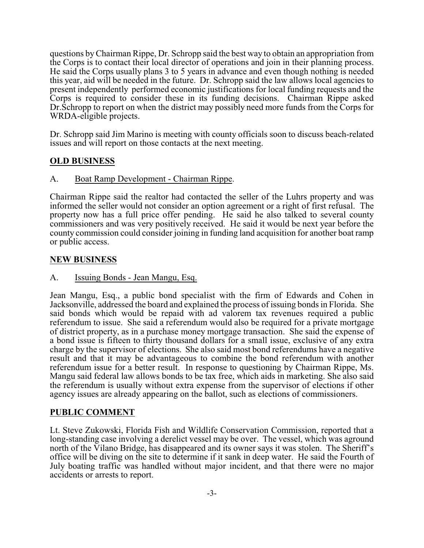questions byChairman Rippe, Dr. Schropp said the best way to obtain an appropriation from the Corps is to contact their local director of operations and join in their planning process. He said the Corps usually plans 3 to 5 years in advance and even though nothing is needed this year, aid will be needed in the future. Dr. Schropp said the law allows local agencies to present independently performed economic justifications for local funding requests and the Corps is required to consider these in its funding decisions. Chairman Rippe asked Dr.Schropp to report on when the district may possibly need more funds from the Corps for WRDA-eligible projects.

Dr. Schropp said Jim Marino is meeting with county officials soon to discuss beach-related issues and will report on those contacts at the next meeting.

### **OLD BUSINESS**

A. Boat Ramp Development - Chairman Rippe.

Chairman Rippe said the realtor had contacted the seller of the Luhrs property and was informed the seller would not consider an option agreement or a right of first refusal. The property now has a full price offer pending. He said he also talked to several county commissioners and was very positively received. He said it would be next year before the county commission could consider joining in funding land acquisition for another boat ramp or public access.

### **NEW BUSINESS**

A. Issuing Bonds - Jean Mangu, Esq.

Jean Mangu, Esq., a public bond specialist with the firm of Edwards and Cohen in Jacksonville, addressed the board and explained the process of issuing bonds in Florida. She said bonds which would be repaid with ad valorem tax revenues required a public referendum to issue. She said a referendum would also be required for a private mortgage of district property, as in a purchase money mortgage transaction. She said the expense of a bond issue is fifteen to thirty thousand dollars for a small issue, exclusive of any extra charge by the supervisor of elections. She also said most bond referendums have a negative result and that it may be advantageous to combine the bond referendum with another referendum issue for a better result. In response to questioning by Chairman Rippe, Ms. Mangu said federal law allows bonds to be tax free, which aids in marketing. She also said the referendum is usually without extra expense from the supervisor of elections if other agency issues are already appearing on the ballot, such as elections of commissioners.

### **PUBLIC COMMENT**

Lt. Steve Zukowski, Florida Fish and Wildlife Conservation Commission, reported that a long-standing case involving a derelict vessel may be over. The vessel, which was aground north of the Vilano Bridge, has disappeared and its owner says it was stolen. The Sheriff's office will be diving on the site to determine if it sank in deep water. He said the Fourth of July boating traffic was handled without major incident, and that there were no major accidents or arrests to report.